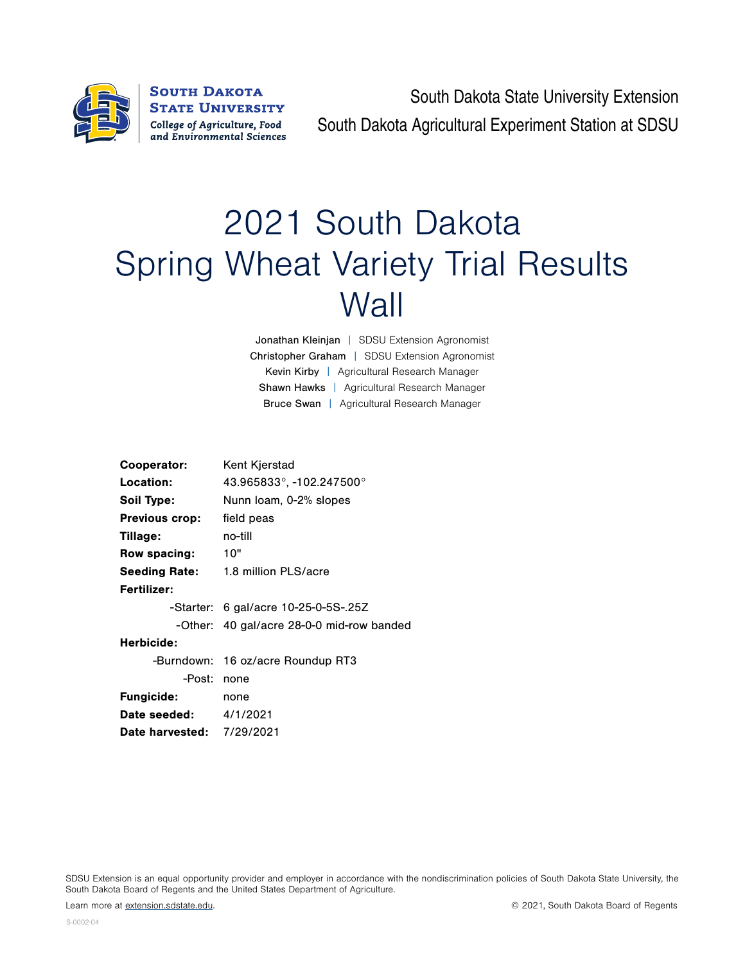

**SOUTH DAKOTA STATE UNIVERSITY** College of Agriculture, Food and Environmental Sciences

South Dakota State University Extension South Dakota Agricultural Experiment Station at SDSU

## 2021 South Dakota Spring Wheat Variety Trial Results **Wall**

Jonathan Kleinjan | SDSU Extension Agronomist Christopher Graham | SDSU Extension Agronomist Kevin Kirby | Agricultural Research Manager Shawn Hawks | Agricultural Research Manager Bruce Swan | Agricultural Research Manager

| Cooperator:                      | Kent Kjerstad                             |  |  |  |  |  |
|----------------------------------|-------------------------------------------|--|--|--|--|--|
| Location:                        | 43.965833°, -102.247500°                  |  |  |  |  |  |
| Soil Type:                       | Nunn Ioam, 0-2% slopes                    |  |  |  |  |  |
| <b>Previous crop:</b>            | field peas                                |  |  |  |  |  |
| Tillage:                         | no-till                                   |  |  |  |  |  |
| Row spacing:                     | 10"                                       |  |  |  |  |  |
| <b>Seeding Rate:</b>             | 1.8 million PLS/acre                      |  |  |  |  |  |
| Fertilizer:                      |                                           |  |  |  |  |  |
|                                  | -Starter: 6 gal/acre 10-25-0-5S-.25Z      |  |  |  |  |  |
|                                  | -Other: 40 gal/acre 28-0-0 mid-row banded |  |  |  |  |  |
| Herbicide:                       |                                           |  |  |  |  |  |
|                                  | -Burndown: 16 oz/acre Roundup RT3         |  |  |  |  |  |
| -Post:                           | none                                      |  |  |  |  |  |
| <b>Fungicide:</b>                | none                                      |  |  |  |  |  |
| <b>Date seeded:</b> 4/1/2021     |                                           |  |  |  |  |  |
| <b>Date harvested: 7/29/2021</b> |                                           |  |  |  |  |  |
|                                  |                                           |  |  |  |  |  |

SDSU Extension is an equal opportunity provider and employer in accordance with the nondiscrimination policies of South Dakota State University, the South Dakota Board of Regents and the United States Department of Agriculture.